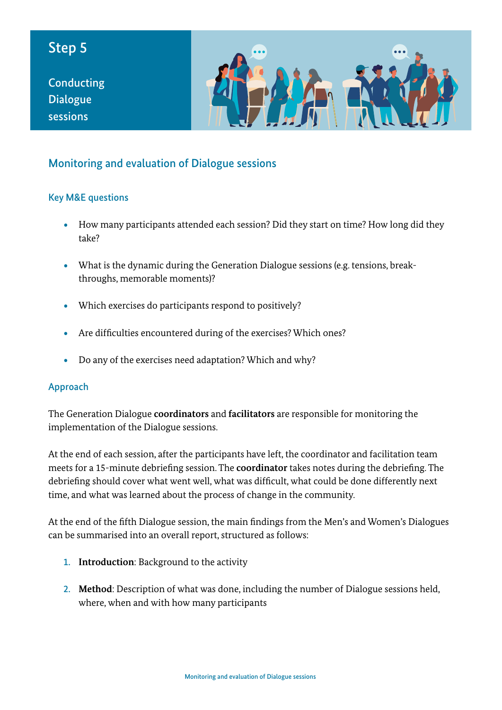# Step 5

**Conducting** Dialogue sessions



### Monitoring and evaluation of Dialogue sessions

#### Key M&E questions

- How many participants attended each session? Did they start on time? How long did they take?
- What is the dynamic during the Generation Dialogue sessions (e.g. tensions, breakthroughs, memorable moments)?
- Which exercises do participants respond to positively?
- Are difficulties encountered during of the exercises? Which ones?
- Do any of the exercises need adaptation? Which and why?

#### Approach

The Generation Dialogue **coordinators** and **facilitators** are responsible for monitoring the implementation of the Dialogue sessions.

At the end of each session, after the participants have left, the coordinator and facilitation team meets for a 15-minute debriefing session. The **coordinator** takes notes during the debriefing. The debriefing should cover what went well, what was difficult, what could be done differently next time, and what was learned about the process of change in the community.

At the end of the fifth Dialogue session, the main findings from the Men's and Women's Dialogues can be summarised into an overall report, structured as follows:

- 1. **Introduction**: Background to the activity
- 2. **Method**: Description of what was done, including the number of Dialogue sessions held, where, when and with how many participants